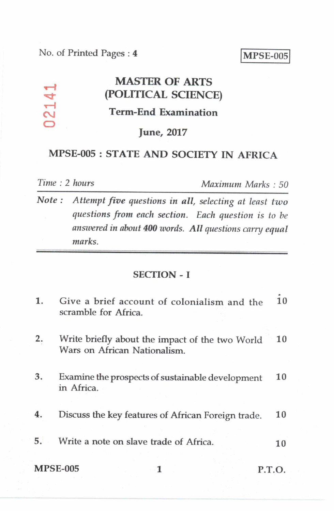# **MASTER OF ARTS qz:1- (POLITICAL SCIENCE) Term-End Examination**

## **June, 2017**

## **MPSE-005 : STATE AND SOCIETY IN AFRICA**

 $02141$ 

*Time : 2 hours Maximum Marks : 50* 

*Note : Attempt five questions in all, selecting at least two questions from each section. Each question is to be answered in about 400 words. All questions carry equal marks.* 

#### SECTION - I

| 1. | Give a brief account of colonialism and the<br>scramble for Africa.             | 10 |
|----|---------------------------------------------------------------------------------|----|
| 2. | Write briefly about the impact of the two World<br>Wars on African Nationalism. | 10 |
| 3. | Examine the prospects of sustainable development<br>in Africa.                  | 10 |
| 4. | Discuss the key features of African Foreign trade.                              | 10 |
| 5. | Write a note on slave trade of Africa.                                          | 10 |
|    | <b>MPSE-005</b><br>P.T.O.                                                       |    |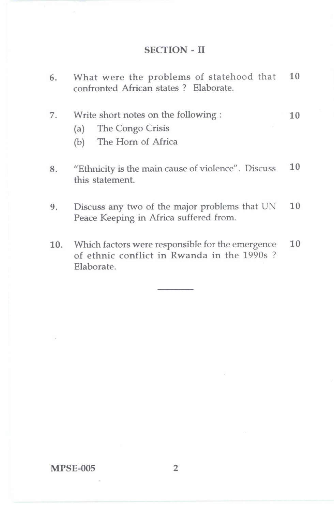### SECTION - II

| 6. | What were the problems of statehood that<br>confronted African states ? Elaborate.                 | 10 |
|----|----------------------------------------------------------------------------------------------------|----|
| 7. | Write short notes on the following :<br>The Congo Crisis<br>(a)<br>The Horn of Africa<br>(b)       | 10 |
| 8. | "Ethnicity is the main cause of violence". Discuss<br>this statement.                              | 10 |
| 9. | Discuss any two of the major problems that UN<br>Peace Keeping in Africa suffered from.            | 10 |
|    | 10. Which factors were responsible for the emergence<br>of ethnic conflict in Rwanda in the 1990s? | 10 |

Elaborate.

MPSE-005 2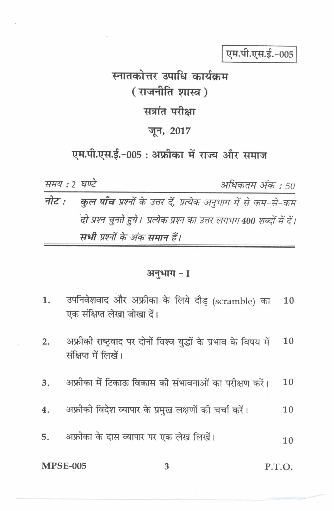एम.पी.एस.ई.-005

# स्नातकोत्तर उपाधि कार्यकम (राजनीति शास्त्र) सत्रांत परीक्षा जून, 2017

एम.पी.एस.ई.-005 : अफ्रीका में राज्य और समाज

समय : 2 घण्टे अधिकतम अंक : 50 नोट $\cdot$ **कुल पाँच** प्रश्नों के उत्तर दें, प्रत्येक अनुभाग में से कम-से-कम .<br>दो प्रश्न चुनते हुये। प्रत्येक प्रश्न का उत्तर लगभग 400 शब्दों में दें। सभी प्रश्नों के अंक समान हैं।

#### अनुभाग - 1

उपनिवेशवाद और अफ्रीका के लिये दौड़ (scramble) का  $1.$ 10 एक संक्षिप्त लेखा जोखा दें। अफ्रीकी राष्ट्रवाद पर दोनों विश्व युद्धों के प्रभाव के विषय में 10  $2.$ संक्षिप्त में लिखें। अफ्रीका में टिकाऊ विकास की संभावनाओं का परीक्षण करें। 10 3. अफ्रीकी विदेश व्यापार के प्रमुख लक्षणों की चर्चा करें।  $4.$ 10 अफ्रीका के दास व्यापार पर एक लेख लिखें। 5. 10

3

**MPSE-005** 

P.T.O.